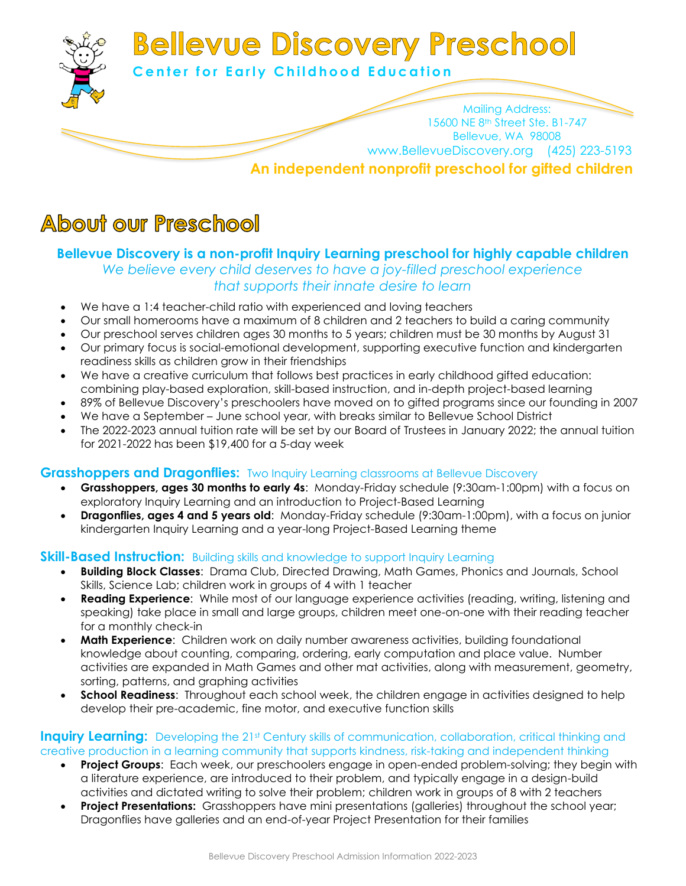

# **About our Preschool**

# **Bellevue Discovery is a non-profit Inquiry Learning preschool for highly capable children**

### *We believe every child deserves to have a joy-filled preschool experience that supports their innate desire to learn*

- We have a 1:4 teacher-child ratio with experienced and loving teachers
- Our small homerooms have a maximum of 8 children and 2 teachers to build a caring community
- Our preschool serves children ages 30 months to 5 years; children must be 30 months by August 31
- Our primary focus is social-emotional development, supporting executive function and kindergarten readiness skills as children grow in their friendships
- We have a creative curriculum that follows best practices in early childhood gifted education: combining play-based exploration, skill-based instruction, and in-depth project-based learning
- 89% of Bellevue Discovery's preschoolers have moved on to gifted programs since our founding in 2007
- We have a September June school year, with breaks similar to Bellevue School District
- The 2022-2023 annual tuition rate will be set by our Board of Trustees in January 2022; the annual tuition for 2021-2022 has been \$19,400 for a 5-day week

### **Grasshoppers and Dragonflies:** Two Inquiry Learning classrooms at Bellevue Discovery

- **Grasshoppers, ages 30 months to early 4s**: Monday-Friday schedule (9:30am-1:00pm) with a focus on exploratory Inquiry Learning and an introduction to Project-Based Learning
- **Dragonflies, ages 4 and 5 years old**: Monday-Friday schedule (9:30am-1:00pm), with a focus on junior kindergarten Inquiry Learning and a year-long Project-Based Learning theme

### **Skill-Based Instruction:** Building skills and knowledge to support Inquiry Learning

- **Building Block Classes**: Drama Club, Directed Drawing, Math Games, Phonics and Journals, School Skills, Science Lab; children work in groups of 4 with 1 teacher
- **Reading Experience**: While most of our language experience activities (reading, writing, listening and speaking) take place in small and large groups, children meet one-on-one with their reading teacher for a monthly check-in
- **Math Experience**: Children work on daily number awareness activities, building foundational knowledge about counting, comparing, ordering, early computation and place value. Number activities are expanded in Math Games and other mat activities, along with measurement, geometry, sorting, patterns, and graphing activities
- **School Readiness:** Throughout each school week, the children engage in activities designed to help develop their pre-academic, fine motor, and executive function skills

#### **Inquiry Learning:** Developing the 21st Century skills of communication, collaboration, critical thinking and creative production in a learning community that supports kindness, risk-taking and independent thinking

- **Project Groups**: Each week, our preschoolers engage in open-ended problem-solving; they begin with a literature experience, are introduced to their problem, and typically engage in a design-build activities and dictated writing to solve their problem; children work in groups of 8 with 2 teachers
- **Project Presentations:** Grasshoppers have mini presentations (galleries) throughout the school year; Dragonflies have galleries and an end-of-year Project Presentation for their families